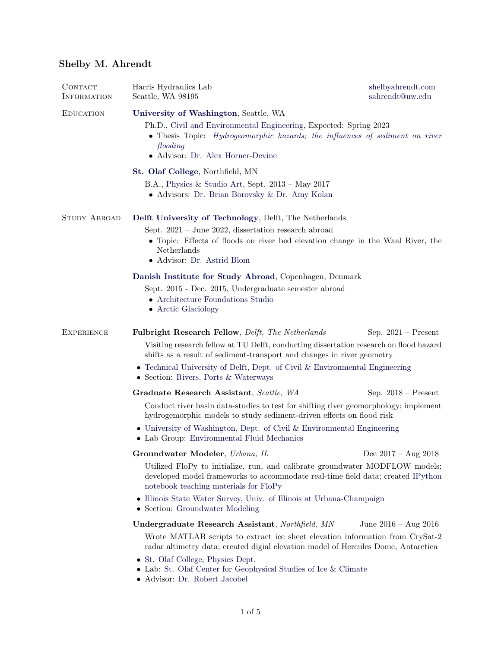# Shelby M. Ahrendt

| CONTACT<br><b>INFORMATION</b> | Harris Hydraulics Lab<br>Seattle, WA 98195                                                                                                                                                                                                                                                                                                                                       | shelbyahrendt.com<br>sahrendt@uw.edu |  |
|-------------------------------|----------------------------------------------------------------------------------------------------------------------------------------------------------------------------------------------------------------------------------------------------------------------------------------------------------------------------------------------------------------------------------|--------------------------------------|--|
| <b>EDUCATION</b>              | University of Washington, Seattle, WA<br>Ph.D., Civil and Environmental Engineering, Expected: Spring 2023<br>• Thesis Topic: <i>Hydrogeomorphic hazards</i> ; the influences of sediment on river<br>flooding<br>• Advisor: Dr. Alex Horner-Devine                                                                                                                              |                                      |  |
|                               | St. Olaf College, Northfield, MN<br>B.A., Physics & Studio Art, Sept. $2013 - May 2017$<br>• Advisors: Dr. Brian Borovsky & Dr. Amy Kolan                                                                                                                                                                                                                                        |                                      |  |
| <b>STUDY ABROAD</b>           | Delft University of Technology, Delft, The Netherlands<br>Sept. $2021$ – June 2022, dissertation research abroad<br>• Topic: Effects of floods on river bed elevation change in the Waal River, the<br>Netherlands<br>• Advisor: Dr. Astrid Blom                                                                                                                                 |                                      |  |
|                               | Danish Institute for Study Abroad, Copenhagen, Denmark<br>Sept. 2015 - Dec. 2015, Undergraduate semester abroad<br>• Architecture Foundations Studio<br>• Arctic Glaciology                                                                                                                                                                                                      |                                      |  |
| <b>EXPERIENCE</b>             | Fulbright Research Fellow, Delft, The Netherlands<br>Sep. $2021$ – Present<br>Visiting research fellow at TU Delft, conducting dissertation research on flood hazard<br>shifts as a result of sediment-transport and changes in river geometry<br>• Technical University of Delft, Dept. of Civil & Environmental Engineering<br>• Section: Rivers, Ports & Waterways            |                                      |  |
|                               | Graduate Research Assistant, Seattle, WA<br>Conduct river basin data-studies to test for shifting river geomorphology; implement<br>hydrogemorphic models to study sediment-driven effects on flood risk<br>$\bullet$ University of Washington, Dept. of Civil & Environmental Engineering<br>• Lab Group: Environmental Fluid Mechanics                                         | Sep. $2018$ – Present                |  |
|                               | Groundwater Modeler, Urbana, IL<br>Dec $2017 - Aug\ 2018$<br>Utilized FloPy to initialize, run, and calibrate groundwater MODFLOW models;<br>developed model frameworks to accommodate real-time field data; created IPython<br>notebook teaching materials for FloPy<br>• Illinois State Water Survey, Univ. of Illinois at Urbana-Champaign<br>• Section: Groundwater Modeling |                                      |  |
|                               | Undergraduate Research Assistant, Northfield, MN<br>Wrote MATLAB scripts to extract ice sheet elevation information from CrySat-2<br>radar altimetry data; created digial elevation model of Hercules Dome, Antarctica<br>• St. Olaf College, Physics Dept.<br>• Lab: St. Olaf Center for Geophysicsl Studies of Ice & Climate<br>• Advisor: Dr. Robert Jacobel                  | June $2016 - Aug 2016$               |  |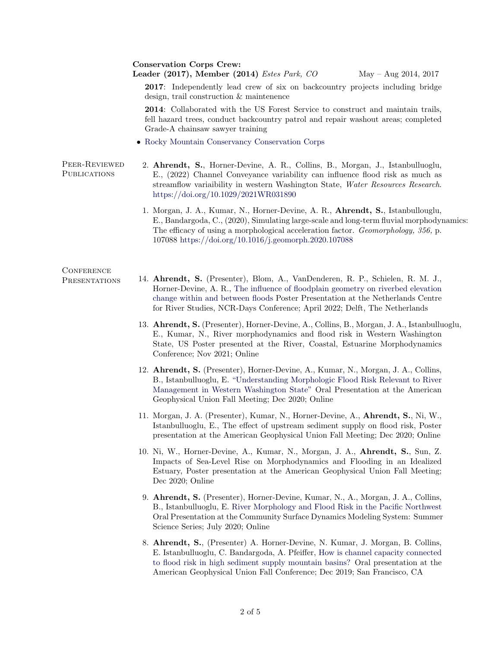#### Conservation Corps Crew:

### Leader (2017), Member (2014) Estes Park, CO May – Aug 2014, 2017

2017: Independently lead crew of six on backcountry projects including bridge design, trail construction & maintenence

2014: Collaborated with the US Forest Service to construct and maintain trails, fell hazard trees, conduct backcountry patrol and repair washout areas; completed Grade-A chainsaw sawyer training

• [Rocky Mountain Conservancy Conservation Corps](https://rmconservancy.org/work-with-us/conservation-corps/)

#### Peer-Reviewed **PUBLICATIONS** 2. Ahrendt, S., Horner-Devine, A. R., Collins, B., Morgan, J., Istanbulluoglu, E., (2022) Channel Conveyance variability can influence flood risk as much as streamflow variaibility in western Washington State, Water Resources Research. <https://doi.org/10.1029/2021WR031890>

1. Morgan, J. A., Kumar, N., Horner-Devine, A. R., Ahrendt, S., Istanbullouglu, E., Bandargoda, C., (2020), Simulating large-scale and long-term fluvial morphodynamics: The efficacy of using a morphological acceleration factor. Geomorphology, 356, p. 107088 <https://doi.org/10.1016/j.geomorph.2020.107088>

## **CONFERENCE**

- 
- Presentations 14. Ahrendt, S. (Presenter), Blom, A., VanDenderen, R. P., Schielen, R. M. J., Horner-Devine, A. R., [The influence of floodplain geometry on riverbed elevation](https://repository.tudelft.nl/islandora/object/uuid%3A453d787c-bcca-4396-a5a5-f41e0a57ab5c) [change within and between floods](https://repository.tudelft.nl/islandora/object/uuid%3A453d787c-bcca-4396-a5a5-f41e0a57ab5c) Poster Presentation at the Netherlands Centre for River Studies, NCR-Days Conference; April 2022; Delft, The Netherlands
	- 13. Ahrendt, S. (Presenter), Horner-Devine, A., Collins, B., Morgan, J. A., Istanbulluoglu, E., Kumar, N., River morphodynamics and flood risk in Western Washington State, US Poster presented at the River, Coastal, Estuarine Morphodynamics Conference; Nov 2021; Online
	- 12. Ahrendt, S. (Presenter), Horner-Devine, A., Kumar, N., Morgan, J. A., Collins, B., Istanbulluoglu, E. ["Understanding Morphologic Flood Risk Relevant to River](https://drive.google.com/file/d/1dbmAxLU0tuSz3hkQ8lhGLvb72OiolAsf/view?usp=sharing) [Management in Western Washington State"](https://drive.google.com/file/d/1dbmAxLU0tuSz3hkQ8lhGLvb72OiolAsf/view?usp=sharing) Oral Presentation at the American Geophysical Union Fall Meeting; Dec 2020; Online
	- 11. Morgan, J. A. (Presenter), Kumar, N., Horner-Devine, A., Ahrendt, S., Ni, W., Istanbulluoglu, E., The effect of upstream sediment supply on flood risk, Poster presentation at the American Geophysical Union Fall Meeting; Dec 2020; Online
	- 10. Ni, W., Horner-Devine, A., Kumar, N., Morgan, J. A., Ahrendt, S., Sun, Z. Impacts of Sea-Level Rise on Morphodynamics and Flooding in an Idealized Estuary, Poster presentation at the American Geophysical Union Fall Meeting; Dec 2020; Online
	- 9. Ahrendt, S. (Presenter), Horner-Devine, Kumar, N., A., Morgan, J. A., Collins, B., Istanbulluoglu, E. [River Morphology and Flood Risk in the Pacific Northwest](https://www.youtube.com/watch?v=WiFBFTHga3M) Oral Presentation at the Community Surface Dynamics Modeling System: Summer Science Series; July 2020; Online
	- 8. Ahrendt, S., (Presenter) A. Horner-Devine, N. Kumar, J. Morgan, B. Collins, E. Istanbulluoglu, C. Bandargoda, A. Pfeiffer, [How is channel capacity connected](https://ui.adsabs.harvard.edu/abs/2019AGUFMEP51A..03A/abstract) [to flood risk in high sediment supply mountain basins?](https://ui.adsabs.harvard.edu/abs/2019AGUFMEP51A..03A/abstract) Oral presentation at the American Geophysical Union Fall Conference; Dec 2019; San Francisco, CA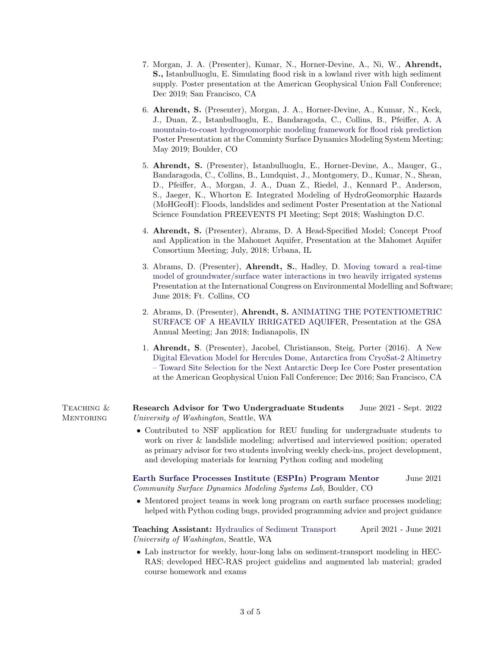- 7. Morgan, J. A. (Presenter), Kumar, N., Horner-Devine, A., Ni, W., Ahrendt, S., Istanbulluoglu, E. Simulating flood risk in a lowland river with high sediment supply. Poster presentation at the American Geophysical Union Fall Conference; Dec 2019; San Francisco, CA
- 6. Ahrendt, S. (Presenter), Morgan, J. A., Horner-Devine, A., Kumar, N., Keck, J., Duan, Z., Istanbulluoglu, E., Bandaragoda, C., Collins, B., Pfeiffer, A. [A](https://csdms.colorado.edu/wiki/2019_CSDMS_meeting-008) [mountain-to-coast hydrogeomorphic modeling framework for flood risk prediction](https://csdms.colorado.edu/wiki/2019_CSDMS_meeting-008) Poster Presentation at the Comminty Surface Dynamics Modeling System Meeting; May 2019; Boulder, CO
- 5. Ahrendt, S. (Presenter), Istanbulluoglu, E., Horner-Devine, A., Mauger, G., Bandaragoda, C., Collins, B., Lundquist, J., Montgomery, D., Kumar, N., Shean, D., Pfeiffer, A., Morgan, J. A., Duan Z., Riedel, J., Kennard P., Anderson, S., Jaeger, K., Whorton E. Integrated Modeling of HydroGeomorphic Hazards (MoHGeoH): Floods, landslides and sediment Poster Presentation at the National Science Foundation PREEVENTS PI Meeting; Sept 2018; Washington D.C.
- 4. Ahrendt, S. (Presenter), Abrams, D. A Head-Specified Model; Concept Proof and Application in the Mahomet Aquifer, Presentation at the Mahomet Aquifer Consortium Meeting; July, 2018; Urbana, IL
- 3. Abrams, D. (Presenter), Ahrendt, S., Hadley, D. [Moving toward a real-time](https://scholarsarchive.byu.edu/iemssconference/2018/Stream-C/20/) [model of groundwater/surface water interactions in two heavily irrigated systems](https://scholarsarchive.byu.edu/iemssconference/2018/Stream-C/20/) Presentation at the International Congress on Environmental Modelling and Software; June 2018; Ft. Collins, CO
- 2. Abrams, D. (Presenter), Ahrendt, S. [ANIMATING THE POTENTIOMETRIC](https://gsa.confex.com/gsa/2018AM/webprogram/Paper321449.html) [SURFACE OF A HEAVILY IRRIGATED AQUIFER,](https://gsa.confex.com/gsa/2018AM/webprogram/Paper321449.html) Presentation at the GSA Annual Meeting; Jan 2018; Indianapolis, IN
- 1. Ahrendt, S. (Presenter), Jacobel, Christianson, Steig, Porter (2016). [A New](https://ui.adsabs.harvard.edu/abs/2016AGUFM.C11A0739A/abstract) [Digital Elevation Model for Hercules Dome, Antarctica from CryoSat-2 Altimetry](https://ui.adsabs.harvard.edu/abs/2016AGUFM.C11A0739A/abstract) [– Toward Site Selection for the Next Antarctic Deep Ice Core](https://ui.adsabs.harvard.edu/abs/2016AGUFM.C11A0739A/abstract) Poster presentation at the American Geophysical Union Fall Conference; Dec 2016; San Francisco, CA

TEACHING & **MENTORING** Research Advisor for Two Undergraduate Students June 2021 - Sept. 2022 University of Washington, Seattle, WA

> • Contributed to NSF application for REU funding for undergraduate students to work on river & landslide modeling; advertised and interviewed position; operated as primary advisor for two students involving weekly check-ins, project development, and developing materials for learning Python coding and modeling

[Earth Surface Processes Institute \(ESPIn\) Program Mentor](https://csdms.colorado.edu/wiki/SpringSchool2022) June 2021 Community Surface Dynamics Modeling Systems Lab, Boulder, CO

• Mentored project teams in week long program on earth surface processes modeling; helped with Python coding bugs, provided programming advice and project guidance

Teaching Assistant: [Hydraulics of Sediment Transport](https://www.washington.edu/students/crscat/cewa.html#cewa574) April 2021 - June 2021 University of Washington, Seattle, WA

• Lab instructor for weekly, hour-long labs on sediment-transport modeling in HEC-RAS; developed HEC-RAS project guidelins and augmented lab material; graded course homework and exams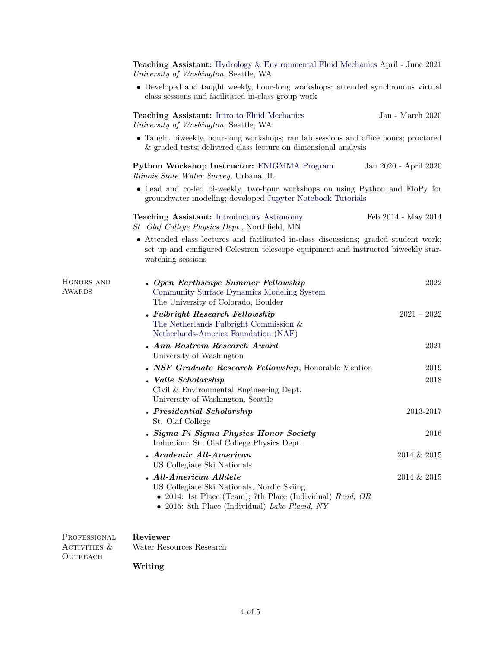|                              | <b>Teaching Assistant:</b> Hydrology & Environmental Fluid Mechanics April - June 2021<br>University of Washington, Seattle, WA                                                                |                       |  |
|------------------------------|------------------------------------------------------------------------------------------------------------------------------------------------------------------------------------------------|-----------------------|--|
|                              | • Developed and taught weekly, hour-long workshops; attended synchronous virtual<br>class sessions and facilitated in-class group work                                                         |                       |  |
|                              | <b>Teaching Assistant:</b> Intro to Fluid Mechanics<br>University of Washington, Seattle, WA                                                                                                   | Jan - March 2020      |  |
|                              | • Taught biweekly, hour-long workshops; ran lab sessions and office hours; proctored<br>& graded tests; delivered class lecture on dimensional analysis                                        |                       |  |
|                              | Python Workshop Instructor: ENIGMMA Program<br>Illinois State Water Survey, Urbana, IL                                                                                                         | Jan 2020 - April 2020 |  |
|                              | • Lead and co-led bi-weekly, two-hour workshops on using Python and FloPy for<br>groundwater modeling; developed Jupyter Notebook Tutorials                                                    |                       |  |
|                              | <b>Teaching Assistant:</b> Introductory Astronomy<br><i>St. Olaf College Physics Dept.</i> , Northfield, MN                                                                                    | Feb 2014 - May 2014   |  |
|                              | • Attended class lectures and facilitated in-class discussions; graded student work;<br>set up and configured Celestron telescope equipment and instructed biweekly star-<br>watching sessions |                       |  |
| HONORS AND<br>AWARDS         | . Open Earthscape Summer Fellowship<br>Community Surface Dynamics Modeling System<br>The University of Colorado, Boulder                                                                       | 2022                  |  |
|                              | • Fulbright Research Fellowship<br>The Netherlands Fulbright Commission $\&$<br>Netherlands-America Foundation (NAF)                                                                           | $2021 - 2022$         |  |
|                              | . Ann Bostrom Research Award<br>University of Washington                                                                                                                                       | 2021                  |  |
|                              | • NSF Graduate Research Fellowship, Honorable Mention                                                                                                                                          | 2019                  |  |
|                              | Valle Scholarship<br>Civil & Environmental Engineering Dept.<br>University of Washington, Seattle                                                                                              | 2018                  |  |
|                              | . Presidential Scholarship<br>St. Olaf College                                                                                                                                                 | 2013-2017             |  |
|                              | . Sigma Pi Sigma Physics Honor Society<br>Induction: St. Olaf College Physics Dept.                                                                                                            | 2016                  |  |
|                              | . Academic All-American<br>US Collegiate Ski Nationals                                                                                                                                         | 2014 & 2015           |  |
|                              | . All-American Athlete<br>US Collegiate Ski Nationals, Nordic Skiing<br>• 2014: 1st Place (Team); 7th Place (Individual) $Bend$ , OR<br>$\bullet$ 2015: 8th Place (Individual) Lake Placid, NY | 2014 & 2015           |  |
| PROFESSIONAL<br>ACTIVITIES & | Reviewer<br>Water Resources Research                                                                                                                                                           |                       |  |

Writing

 $\begin{array}{lll} \textbf{OUTREACH} \end{array}$